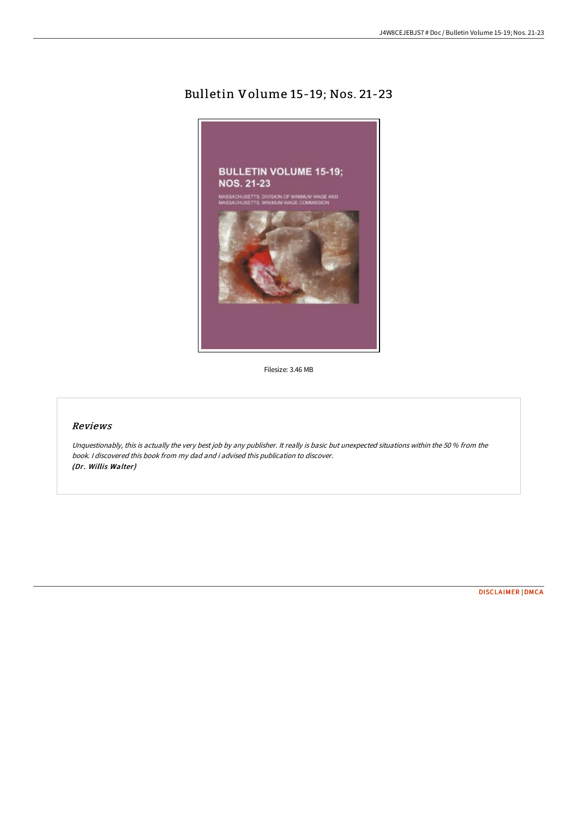# Bulletin Volume 15-19; Nos. 21-23



Filesize: 3.46 MB

## Reviews

Unquestionably, this is actually the very best job by any publisher. It really is basic but unexpected situations within the 50 % from the book. I discovered this book from my dad and i advised this publication to discover. (Dr. Willis Walter)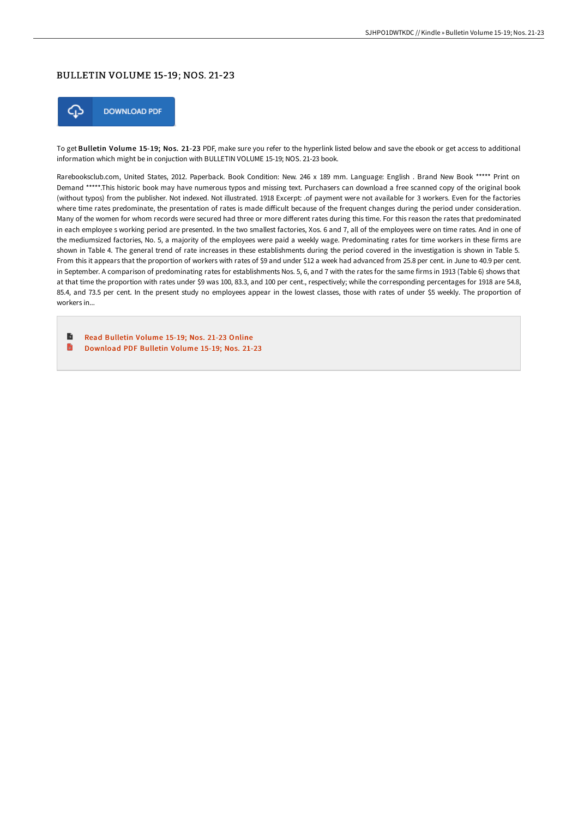#### BULLETIN VOLUME 15-19; NOS. 21-23



To get Bulletin Volume 15-19; Nos. 21-23 PDF, make sure you refer to the hyperlink listed below and save the ebook or get access to additional information which might be in conjuction with BULLETIN VOLUME 15-19; NOS. 21-23 book.

Rarebooksclub.com, United States, 2012. Paperback. Book Condition: New. 246 x 189 mm. Language: English . Brand New Book \*\*\*\*\* Print on Demand \*\*\*\*\*.This historic book may have numerous typos and missing text. Purchasers can download a free scanned copy of the original book (without typos) from the publisher. Not indexed. Not illustrated. 1918 Excerpt: .of payment were not available for 3 workers. Even for the factories where time rates predominate, the presentation of rates is made difficult because of the frequent changes during the period under consideration. Many of the women for whom records were secured had three or more different rates during this time. For this reason the rates that predominated in each employee s working period are presented. In the two smallest factories, Xos. 6 and 7, all of the employees were on time rates. And in one of the mediumsized factories, No. 5, a majority of the employees were paid a weekly wage. Predominating rates for time workers in these firms are shown in Table 4. The general trend of rate increases in these establishments during the period covered in the investigation is shown in Table 5. From this it appears that the proportion of workers with rates of \$9 and under \$12 a week had advanced from 25.8 per cent. in June to 40.9 per cent. in September. A comparison of predominating rates for establishments Nos. 5, 6, and 7 with the rates for the same firms in 1913 (Table 6) shows that at that time the proportion with rates under \$9 was 100, 83.3, and 100 per cent., respectively; while the corresponding percentages for 1918 are 54.8, 85.4, and 73.5 per cent. In the present study no employees appear in the lowest classes, those with rates of under \$5 weekly. The proportion of workers in...

B Read [Bulletin](http://techno-pub.tech/bulletin-volume-15-19-nos-21-23-paperback.html) Volume 15-19; Nos. 21-23 Online B [Download](http://techno-pub.tech/bulletin-volume-15-19-nos-21-23-paperback.html) PDF Bulletin Volume 15-19; Nos. 21-23